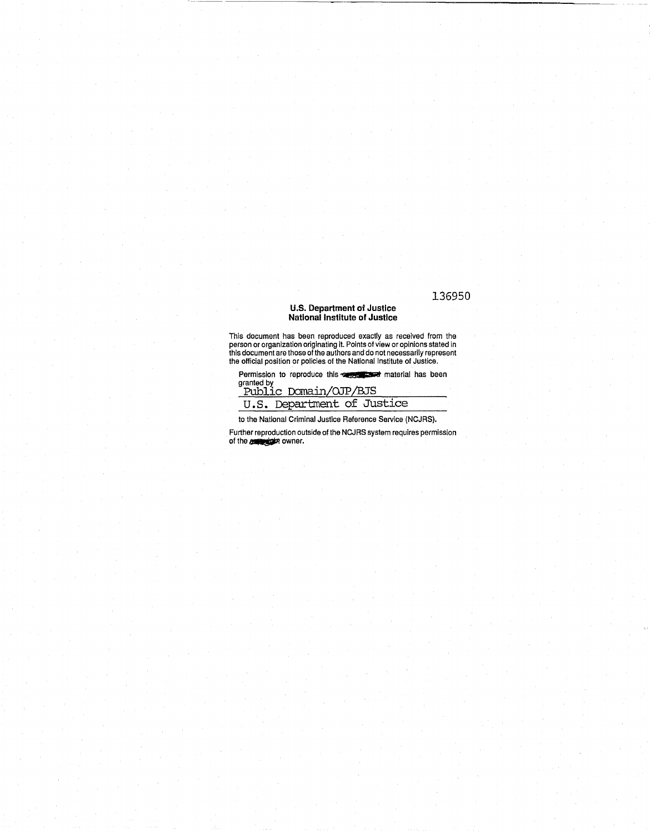# 136950

## U.S. **Department** *ot* **Justice**  National Institute **of Justice**

This document has been reproduced exactly as received from the person or organization originating it. Points of view or opinions stated in this document are those of the authors and do not necessarily represent the official position or policies of the National Institute of Justice.

Permission to reproduce this  $\sim$  **parts** material has been granted by<br>Public Domain/OJP/BJS

| ______                     |  |
|----------------------------|--|
| U.S. Department of Justice |  |

to the National Criminal Justice Reference Service (NCJRS).

Further reproduction outside of the NCJRS system requires permission of the **our property** owner.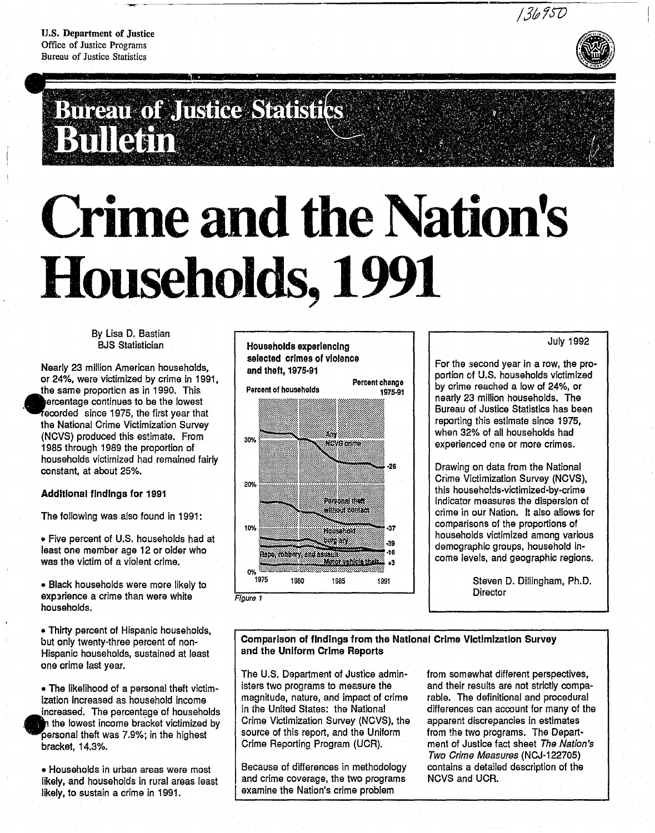U.S. Department of Justice Office of Justice Programs Bureau of Justice Statistics



# Bureau of Justice Statistics Bullean

# **Crime and the Nation's** Households, 1991

# By Lisa D. Bastian 8JS Statistician

Nearly 23 million American households, or 24%, were victimized by crime in 1991, the same proportion as in 1990. This ercentage continues to be the lowest recorded since 1975, the first year that the National Crime Victimization Survey (NCVS) produced this estimate. From 1985 through 1989 the proportion of households victimized had remained fairly constant, at about 25%.

# Additional findings for 1991

.<br>ا

The following was also found in 1991:

• Five percent of U.S. households had at least one member age 12 or older who was the victim of a violent crime.

• Black households were more likely to exparience a crime than were white households.

• Thirty percent of Hispanic households, but only twenty-three percent of non-Hispanic households, sustained at least one crime last year.

• The likelihood of a personal theft victimization increased as household income ization increased as nousehold income<br>increased. The percentage of household<br>in the lowest income bracket victimized<br>personal theft was 7.9%; in the highest increased. The percentage of households . the lowest income bracket victimized by bracket, 14.3%.

• Households in urban areas were most likely, and households in rural areas least likely, to sustain a crime in 1991.

# Households experiencing selected crimes of violence and theft, 1975-91 Percent change Percent of households 1975-91 Am 30% **NCVS crime** 20% Porsonal than

10%

0% 1975

Figure 1

·28 without confact 37 Household turglary -39 16 Rape, robbery, and assaul nggang ang . +3 1980 1985 1991

# July 1992

For the second year in a row, the proportion of U.S. households victimized by crime reached a low of 24%, or nearly 23 million households. The Bureau of Justice Statistics has been reporting this estimate since 1975, when 32% of all households had experienced one or more crimes.

Drawing on data from the National Crime Victimization Survey (NCVS), this households-victimized-by-crime Indicator measures the dispersion at crime in our Nation. It also a!lows for comparisons of the proportions of households victimized among various demographic groups, household income levels, and geographic regions.

> Steven D. Dillingham, Ph.D. **Director**

Comparison of findings from the National Crime Victimization Survey and the Uniform Crime Reports

The U.S. Department of Justice administers two programs to measure the magnitude, nature, and impact of crime in the United States: the National Crime Victimization Survey (NCVS), the source of this report, and the Uniform Crime Reporting Program (UCR).

Because of differences in methodology and crime coverage, the two programs examine the Nation's crime problem

from somewhat different perspectives, and their results are not strictly comparable. The definitional and procedural differences can account for many of the apparent discrepancies in estimates from the two programs. The Department of Justice fact sheet The Nation's Two Crime Measures (NCJ-122705) contains a detailed description of the NCVS and UCR.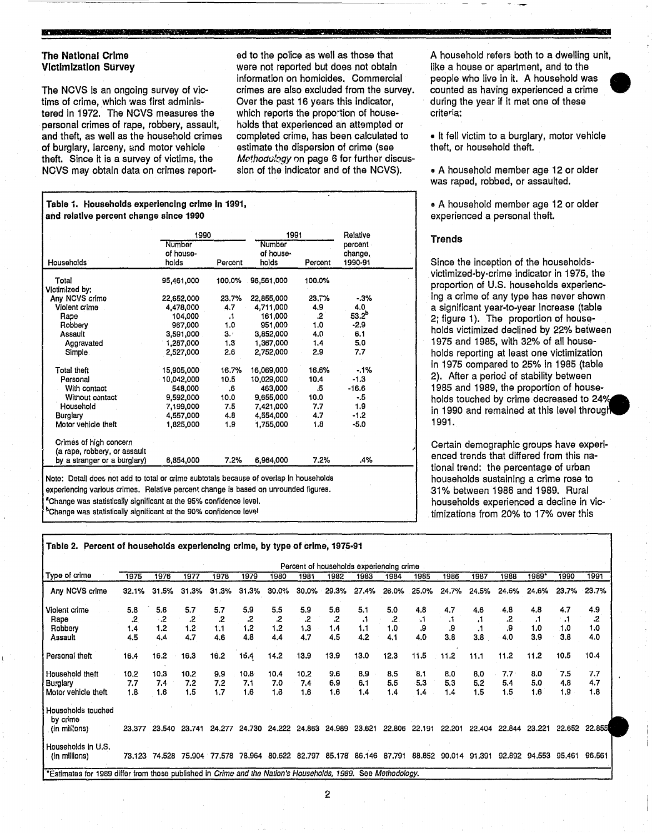# **-** The National Crime Victimization Survey

The NCVS is an ongoing survey of victims of crime, which was first administered in 1972. The NCVS measures the personal crimes of rape, robbery, assault, and theft, as well as the household crimes of burglary, larceny, and motor vehicle theft. Since it is a survey of victims, the NCVS may obtain data on crimes report-

ed to the police as well as those that were not reported but does not obtain information on homicides. Commercial crimes are also excluded from the survey. Over the past 16 years this indicator, which reports the proportion of households that experienced an attempted or completed crime, has been calculated to estimate the dispersion of crime (see Methodology on page 6 for further discussion of the indicator and of the NCVS).

# Table 1. Households experiencing crime In 1991, and relative percent change since 1990

|                                                        | 1990       |           | 1991       |         | Relative   |  |
|--------------------------------------------------------|------------|-----------|------------|---------|------------|--|
|                                                        | Number     |           | Number     |         | percent    |  |
|                                                        | of house-  |           | of house-  |         | change,    |  |
| Households                                             | holds      | Percent   | holds      | Percent | 1990-91    |  |
| Total                                                  | 95,461,000 | 100.0%    | 96,561,000 | 100.0%  |            |  |
| Victimized by:                                         |            |           |            |         |            |  |
| Any NCVS crime                                         | 22,652,000 | 23.7%     | 22,855,000 | 23.7%   | $-3%$      |  |
| Violent crime                                          | 4,478,000  | 4.7       | 4,711,000  | 4.9     | 4.0        |  |
| Rape                                                   | 104,000    | $\cdot$ 1 | 161,000    | .2      | $53.2^{b}$ |  |
| Robbery                                                | 967,000    | 1.0       | 951,000    | 1.0     | -2.9       |  |
| Assault                                                | 3,591,000  | 3.7       | 3,852,000  | 4.0     | 6.1        |  |
| Aggravated                                             | 1,287,000  | 1,3       | 1,367,000  | 1.4     | 5.0        |  |
| Simple.                                                | 2,527,000  | 2.6       | 2,752,000  | 2.9     | 7.7        |  |
| Total theft                                            | 15,905,000 | 16.7%     | 16,069,000 | 16.6%   | $-1%$      |  |
| Personal                                               | 10,042,000 | 10.5      | 10,029,000 | 10.4    | $-1.3$     |  |
| With contact                                           | 548,000    | .6        | 463,000    | .5      | $-16.6$    |  |
| Witnout contact                                        | 9,592,000  | 10.0      | 9,655,000  | 10.0    | - 5        |  |
| Household                                              | 7.199,000  | 7.5       | 7,421,000  | 7.7     | 1.9        |  |
| <b>Burglary</b>                                        | 4,557,000  | 4.8       | 4,554,000  | 4.7     | $-1.2$     |  |
| Motor vehicle theft                                    | 1,825,000  | 1,9       | 1,755,000  | 1.8     | -5.0       |  |
| Crimes of high concern<br>(a rape, robbery, or assault |            |           |            |         |            |  |
| by a stranger or a burglary)                           | 6,854,000  | 7.2%      | 6,964,000  | $7.2\%$ | .4%        |  |

experiencing various crimes. Relative percent change is based on unrounded figures. 'Change was statistically significant at the 95% confidence level. Change was statistically significant at the 90% confidence level

Table 2. Percent of households experiencing crime, by type of crime, 1975-91

A household refers both to a dwelling unit, like a house or apartment, and to the people who live in it. A household was • counted as having experienced a crime during the year if it met one of these criteria:

• It fell victim to a burglary, motor vehicle theft, or household theft.

• A household member age 12 or older was raped, robbed, or assaulted.

• A household member age 12 or older experienced a personal theft.

# **Trends**

Since the inception of the householdsvictimized-by-crime indicator in 1975, the proportion of U.S. households experiencing a crime of any type has never shown a significant year-to-year increase (table 2; figure 1). The proportion of households victimized declined by 22% between 1975 and 1985, with 32% of all households reporting at least one victimization in 1975 compared to 25% in 1985 (table 2). After a period of stability between 1985 and 1989, the proportion of households touched by crime decreased to *240 A.*  in 1990 and remained at this level throug 1991.

Certain demographic groups have experienced trends that differed from this national trend: the percentage of urban households sustaining a crime rose to 31 % between 1986 and 1989. Rural households experienced a decline in victimizations from 20% to 17% over this

| 1975  | 1976  | 1977             | 1978             | 1979   | 1980  | 1981             | 1982             | 1983   | 1984   | 1985   | 1986                                     | 1987   | 1988   | 1989*  | 1990   | 1991   |
|-------|-------|------------------|------------------|--------|-------|------------------|------------------|--------|--------|--------|------------------------------------------|--------|--------|--------|--------|--------|
| 32.1% | 31.5% | 31.3%            | 31.3%            | 31.3%  | 30.0% | 30.0%            | 29.3%            | 27.4%  | 26,0%  | 25.0%  | 24<br>7%.                                | 24.5%  | 24.6%  | 24,6%  | 23.7%  | 23.7%  |
| 5.8   | 5.6   | 5.7              | 5.7              | 5.9    | 5.5   | 5.9              | 5.6              | 5.1    | 5.0    | 4.8    | 4.7                                      | 4.6    | 4.8    | 4.8    | 4.7    | 4.9    |
| .2.   | .2    | .2               | .2               | .2     | .2    | 2.               | .2               | ۰1.    | .2     | - 1    | . .                                      | .1     | .2     | ٠,     | .1     | .2     |
| 1.4   | 1.2   | 1.2              | 1.1              | 1.2    | 1.2   | 1.3              | 1.4              | 1.1    | 1.0    | 9.     |                                          |        | .9     | 1.0    | 1.0    | 1.0    |
| 4.5   | 4.4   | 4.7              | 4.6              | 4.8    | 4.4   | 4.7              | 4.5              | 4.2    | 4.1    | 4.0    | 3.8                                      | 3.8    | 4.0    | 3.9    | 3.8    | 4.0    |
| 16.4  | 16.2  | 16.3             | 16.2             | 15.4   | 14.2  | 13.9             | 13.9             | 13.0   | 12.3   | 11.5   | 11.2                                     | 11.1   | 11.2   | 11.2   | 10.5   | 10.4   |
| 10.2  | 10.3  | 10.2             | 9,9              | 10.8   | 10.4  | 10.2             | 9.6              | 8.9    | 8.5    | 8.1    | 8.0                                      | 8.0    | 7.7    | 8.0    | 7.5    | 7.7    |
| 7.7   | 7.4   | 7.2              | 7.2              | 7.1    | 7.0   | 7.4              | 6.9              | 6.1    | 5.5    | 5.3    | 5.3                                      | 5.2    | 5.4    | 5.0    | 4.8    | 4.7    |
| 1.8   | 1.6   | 1.5              | 1.7              | 1.6    | 1.6   | 1.6              | 1.6              | 1.4    | 1.4    | 1.4    | 1.4                                      | 1.5    | 1.5    | 1.6    | 1.9    | 1.8    |
|       |       |                  |                  |        |       |                  |                  |        |        |        |                                          |        |        |        |        |        |
|       |       | 23.741           | 24.277           |        |       | 24.863           | 24.989           | 23.621 | 22,806 | 22.191 | 22,201                                   | 22.404 | 22.844 | 23.221 | 22.652 | 22.855 |
|       |       |                  |                  |        |       |                  |                  |        |        |        |                                          |        |        |        |        |        |
|       |       |                  | 77.578           |        |       |                  |                  |        | 87.791 |        |                                          | 91.391 |        |        | 95.461 | 96.561 |
|       |       | 23.377<br>73.123 | 23.540<br>74.528 | 75,904 |       | 24.730<br>78.964 | 24.222<br>80.622 | 82.797 | 85.178 | 86.146 | Percent of households experiencing crime | 88,852 | 90.014 |        | 92,892 | 94.553 |

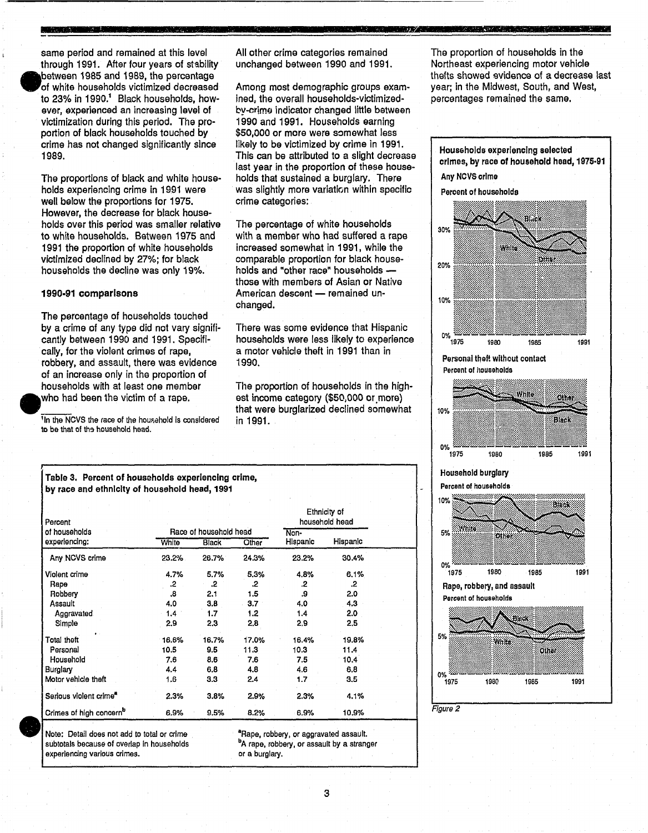same period and remained at this level through 1991. After four years of stability between 1985 and 1989, the percentage of white households victimized decreased to 23% in 1990.<sup>1</sup> Black households, however, experienced an increasing level of victimization during this period. The proportion of black households touched by crime has not changed significantly since 1989.

**·** 

•

The proportions of black and white households experiencing crime in 1991 were well below the proportions for 1975. However, the decrease for black households over this period was smaller relative to white households. Between 1975 and 1991 the proportion of white households victimized declined by 27%; for black households the decline was only 19%.

# 1990-91 comparisons

The percentage of households touched by a crime of any type did not vary significantly between 1990 and 1991. Specifically, for the violent crimes of rape, robbery, and assault. there was evidence of an increase only in the proportion of households with at least one member .WhO had been the victim of a rape.

 $\frac{1}{1}$ In the NCVS the race of the household is considered to be that of the household head.

• Note: Detail does not add to total or crime subtotals because of overlap in households

experiencing various crimes.

All other crime categories remained unchanged between 1990 and 1991.

**Professor (CAPITALIST)** 

Among most demographic groups examined, the overall households-victimizedby-crime indicator changed little between 1990 and 1991. Households earning \$50,000 or more were somewhat less likely to be victimized by crime in 1991. This can be attributed to a slight decrease last year in the proportion of these households that sustained a burglary. There was slightly more variation within specific crime categories:

The percentage of white households with a member who had suffered a rape increased somewhat in 1991. while the comparable proportion for black households and "other race" households those with members of Asian or Native American descent - remained unchanged.

There was some evidence that Hispanic households were less likely to experience a motor vehicle theft in 1991 than in 1990.

The proportion of households in the highest income category (\$50,000 or more) that were burglarized declined somewhat in 1991.

The proportion of households in the Northeast experiencing motor vehicle thefts showed evidence of a decrease last year; in the Midwest. South, and West, percentages remained the same.

**WEIGHT TO A REPORT OF A STATE OF A REPORT OF A STATE OF A REPORT OF A STATE OF A STATE OF A STATE OF A STATE O** 



Table 3. Percent of households experiencing crime, by race and ethnicity of household head, 1991

| Percent                             |       |                        |       |          | Ethnicity of<br>household head |  |
|-------------------------------------|-------|------------------------|-------|----------|--------------------------------|--|
| of households                       |       | Race of household head |       | Non-     |                                |  |
| experiencing:                       | White | Black                  | Other | Hispanic | Hispanic                       |  |
| Any NCVS crime                      | 23.2% | 26.7%                  | 24.3% | 23.2%    | 30.4%                          |  |
| Violent crime                       | 4.7%  | 5.7%                   | 5.3%  | 4.8%     | 6.1%                           |  |
| Rape                                | .2    | $\cdot$                | .2    | .2       | .2                             |  |
| Robbery                             | .8    | 2.1                    | 1.5   | .9       | 2.0                            |  |
| Assault                             | 4.0   | 3.8                    | 3.7   | 4.0      | 4.3                            |  |
| Aggravated                          | 1.4   | 1.7                    | 1.2   | 1.4      | 2.0                            |  |
| Simple                              | 2.9   | 2.3                    | 2,8   | 2.9      | 2.5                            |  |
| Total theft                         | 16.6% | 16.7%                  | 17.0% | 16.4%    | 19.8%                          |  |
| Personal                            | 10.5  | 9.5                    | 11.3  | 10.3     | 11.4                           |  |
| Household                           | 7.6   | 8.6                    | 7.6   | 7.5      | 10.4                           |  |
| <b>Burglary</b>                     | 4.4   | 6.8                    | 4.8   | 4.6      | 6.8                            |  |
| Motor vehicle theft                 | 1,6   | 3.3                    | 2.4   | 1.7      | 3.5                            |  |
| Serious violent crime <sup>*</sup>  | 2.3%  | 3.8%                   | 2.9%  | 2.3%     | 4.1%                           |  |
| Crimes of high concern <sup>b</sup> | 6.9%  | 9.5%                   | 8.2%  | 6.9%     | 10.9%                          |  |

<sup>a</sup>Rape, robbery, or aggravated assault. bA rape, robbery, or assault by a stranger

or a burglary.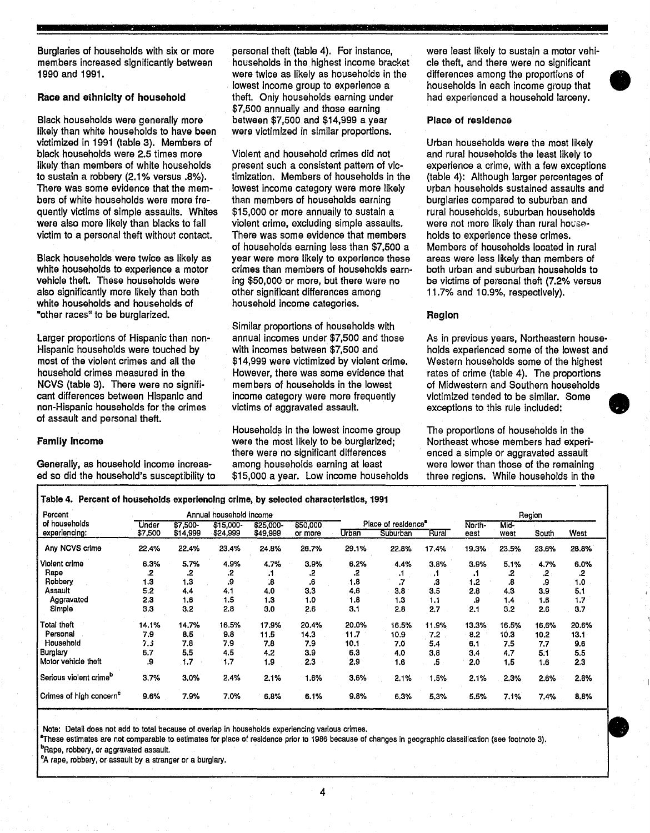Burglaries of households with six or more personal theft (table 4). For instance, were least likely to sustain a motor vehi-

likely than white households to have been victimized in 1991 (table 3). Members of victimized in 1991 (table 3). Wembers of the most likely to victimize<br>Urban households were 2.5 times more violent and household crimes did not and rural households the least likely black households were 2.5 times more Violent and household crimes did not and rural households the least likely to<br>Iikely than members of white households present such a consistent pattern of vic- experience a crime, with Iikely than members of white households present such a consistent pattern of vic- experience a crime, with a few exceptions<br>to sustain a robbery (2.1% versus .8%). timization. Members of households in the (table 4): Althou to sustain a robbery (2.1% versus .8%). timization. Members of households in the There was some evidence that the mem-<br>
lowest income category were more likely bers of white households were more fre- than members of households earning burglaries compared to suburban and<br>A printly victims of simple assaults. Whites \$15,000 or more annually to sustain a rural households, suburban h quently victims of simple assaults. Whites \$15,000 or more annually to sustain a rural households, suburban households<br>were also more likely than blacks to fall violent crime, excluding simple assaults. Were not more likel

also significantly more likely than both other significant differences and white households and households of conserved household income categories. white households and households of "other races" to be burglarized. The contract of the contract of the contract of the contract of the contract of the contract of the contract of the contract of the contract of the contract of the contract of the contract

cant differences between Hispanic and income category were more frequently non-Hispanic households for the crimes victims of aggravated assault. of assault and personal theft.

members increased significantly between households in the highest income bracket cle theft, and there were no significant<br>1990 and 1991. Were twice as likely as households in the differences among the proportions of were twice as likely as households in the lowest income group to experience a lowest income group to experience a households in each income group that the t. Only households earning under had experienced a household larceny. Race and ethnicity of household **theft.** Only households earning under had experienced a household larceny. \$7,500 annually and those earning Black households were generally more between \$7,500 and \$14,999 a year Place of residence<br>likely than white households to have been were victimized in similar proportions.

There was some extegory were more likely urban households sustained assaults and than members of households earning burglaries compared to suburban and violent crime, excluding simple assaults. were not more likely than rural hot more likely than rural hot more i<br>There was some evidence that members bolds to experience these crimes. victim to a personal theft without contact. There was some evidence that members holds to experience these crimes. of households earning less than \$7,500 a Members of households located in rural Black households were twice as likely as year were more likely to experience these white households to experience a motor crimes than members of households earnwhite households to experience a motor crimes than members of households earn- both urban and suburban households to<br>vehicle theft. These households were ing \$50,000 or more, but there were no be victims of personal theft ing \$50,000 or more, but there were no be victims of personal theft (7.2% versus other significant differences among 11.7% and 10.9%, respectively).

Similar proportions of households with<br>annual incomes under \$7,500 and those Larger proportions of Hispanic than non- annual incomes under \$7,500 and those As in previous years, Northeastern house-<br>Hispanic households were touched by with incomes between \$7,500 and holds experienced some of the low most of the violent crimes and all the  $$14,999$  were victimized by violent crime. Western households some of the highest household crimes measured in the However, there was some evidence that rates of crime (table 4). The household crimes measured in the However, there was some evidence that rates of crime (table 4). The proportions<br>NCVS (table 3). There were no signifi- members of households in the lowest of Midwestern and Southern househo members of households in the lowest of Midwestern and Southern households<br>income category were more frequently victimized tended to be similar. Some non-Hispanic households for the crimes victims of aggravated assault. exceptions to this rule included:

Households in the lowest income group The proportions of households in the **Family income** were the most likely to be burglarized; Northeast whose members had experi-<br>there were no significant differences enced a simple or aggravated assault there were no significant differences anced a simple or aggravated assault<br>among households earning at least and were lower than those of the remaining Generally, as household income increas- among households earning at least were lower than those of the remaining ed so did the household's susceptibility to \$15,000 a year. Low income households three regions. While househ \$15,000 a year. Low income households

Hispanic households were touched by with incomes between \$7,500 and holds experienced some of the lowest and most of the lowest and most of the highest most of the highest

| Percent                             | Annual household income |          |            |           |          |       |                    |       |        |       | Region |       |
|-------------------------------------|-------------------------|----------|------------|-----------|----------|-------|--------------------|-------|--------|-------|--------|-------|
| of households                       | Under                   | \$7,500- | $$15,000-$ | \$25,000- | \$50,000 |       | Place of residence |       | North- | Mid-  |        |       |
| experiencing:                       | \$7,500                 | \$14,999 | \$24,999   | \$49,999  | or more  | Urban | Suburban           | Rural | east   | west  | South  | West  |
| Any NCVS crime                      | 22.4%                   | 22.4%    | 23.4%      | 24.8%     | 26.7%    | 29.1% | 22.8%              | 17.4% | 19.3%  | 23.5% | 23.6%  | 28.8% |
| Violent crime                       | 6.3%                    | 5.7%     | 4.9%       | 4.7%      | 3.9%     | 6.2%  | 4.4%               | 3.8%  | 3.9%   | 5.1%  | 4.7%   | 6.0%  |
| Rape                                | .2                      | .2       | .2         | . .       | .2       | 2.    |                    | - 1   |        | .2    | .2     | .2    |
| Robbery                             | 1.3                     | 1.3      | .9         | .8        | .6       | 1.8   | .,                 | .3    | 1.2    | .8    | .9     | 1.0   |
| Assault                             | 5.2                     | 4.4      | 4.1        | 4.0       | 3.3      | 4.6   | 3.8                | 3.5   | 2.8    | 4.3   | 3.9    | 5.1   |
| Aggravated                          | 2,3                     | 1.6      | 1.5        | 1.3       | 1.0      | 1.8   | 1.3                | 1.1   | 9.     | 1.4   | 1.6    | 1.7   |
| Simple                              | 3.3                     | 3.2      | 2.8        | 3.0       | 2.6      | 3.1   | 2.8                | 2.7   | 2.1    | 3.2   | 2.6    | 3.7   |
| Total theft                         | 14.1%                   | 14.7%    | 16.5%      | 17.9%     | 20.4%    | 20.0% | 16.5%              | 11.9% | 13.3%  | 16.5% | 16.6%  | 20.6% |
| Personal                            | 7.9                     | 8.5      | 9.8        | 11.5      | 14.3     | 11.7  | 10.9               | 7.2   | 8.2    | 10.3  | 10.2   | 13.1  |
| Household                           | 7.3                     | 7.8      | 7.9        | 7.8       | 7.9      | 10.1  | 7.0                | 5.4   | 6.1    | 7.5   | 7.7    | 9.6   |
| Burglary                            | 6.7                     | 5.5      | 4.5        | 4.2       | 3.9      | 6.3   | 4.0                | 3,8   | 3.4    | 4.7   | 5.1    | 5,5   |
| Motor vehicle theft                 | .9                      | 1,7      | 1.7        | 1.9       | 2.3      | 2.9   | 1.6                | .5    | 2.0    | 1.5   | 1.6    | 2.3   |
| Serious violent crime <sup>p</sup>  | 3.7%                    | 3.0%     | 2.4%       | 2.1%      | 1.6%     | 3.6%  | 2.1%               | 1.5%  | 2.1%   | 2.3%  | 2.6%   | 2.8%  |
| Crimes of high concern <sup>e</sup> | 9.6%                    | 7.9%     | 7.0%       | 6.8%      | 6.1%     | 9.8%  | 6.3%               | 5.3%  | 5.5%   | 7.1%  | 7.4%   | 8.8%  |

Note: Detail does not add to total because of overlap in households experiencing various crimes.

 $^{\bullet}$ These estimates are not comparable to estimates for place of residence prior to 1986 because of changes in geographic classification (see footnote 3).

<sup>b</sup>Rape, robbery, or aggravated assault.

<sup>c</sup>A rape, robbery, or assault by a stranger or a burglary.

4





•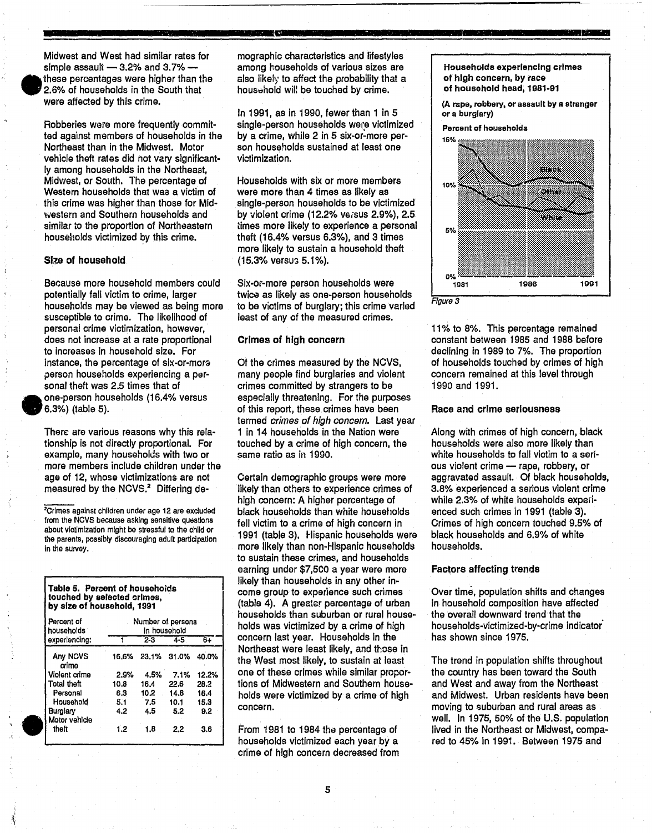

•

Midwest and West had similar rates for simple assault  $-$  3.2% and 3.7%  $$ these percentages were higher than the 2.6% of households in the South that were affected by this crime.

Robberies were more frequently committed against members of households in the Northeast than in the Midwest. Motor vehicle theft rates did not vary significantly among households in the Northeast, Midwest, or South. The percentage of Western households that was a victim of this crime was higher than those for Midwestern and Southern households and similar to the proportion of Northeastern households victimized by this crime.

# Size of household

Because more household members could potentially fall victim to crime, larger households may be viewed as being more suscaptible to crime. The likelihood of personal crime victimization, however, does not increase at a rate proportional to increases in household size. For instance, the percentage of six-or-mora .person households experiencing a parsonal theft was 2.5 times that of one-person households (16.4% versus 6.3%) (table 5).

Thare are various reasons why this relationship is not directly proportional. For example, many households with two or more members include children under the age of 12, whose victimizations are not measured by the NCVS.<sup>2</sup> Differing de-

:>Crimes against children under age 12 are excluded from the NCVS because asking sensitive questions about victimization might be stressful to the child or the parents, possibly discouraging adult participation in the survey.

| Percent of<br>households  |       |       | Number of persons<br>in household: |       |
|---------------------------|-------|-------|------------------------------------|-------|
| experiencing:             |       | 2-3   | $4 - 5$                            | 6+    |
| Any NCVS<br>crime         | 16.6% | 23.1% | 31.0%                              | 40.0% |
| Violent crime             | 2.9%  | 4.5%  | 7.1%                               | 12.2% |
| Total theft               | 10.8  | 16.4  | 22.6                               | 28.2  |
| Personal                  | 6.3   | 10.2  | 14.8                               | 16.4  |
| Household                 | 5.1   | 7.5   | 10.1                               | 15.3  |
| Burglary<br>Motor vehicle | 4.2   | 4.5   | 5.2                                | 9.2   |
| theft                     | 1.2   | 1.8   | 2.2                                | 3.6   |

mographic characteristics and lifestyles among households of various sizes are also likely to affect the probability that a household will be touched by crime.

In 1991, as in 1990, fewer than 1 in 5 single-person households were victimized by a crime, while 2 in 5 six-or-more person households sustained at least one victimization.

Households with six or more members were more than 4 times as likely as single-person households to be victimized by violent crime (12.2% versus  $2.9\%$ ),  $2.5$ times more likely to experience a personal theft (16.4% versus 6.3%), and 3 times more likely to sustain a household theft (15.3% versus 5.1%).

Six-or-more person households were twice as likely as one-person households to be victims of burglary; this crime varied least of any of the measured crimes.

# Crimes of high concern

Of the crimes measured by the NCVS, *many* people find burglaries and violent crimes committed by strangers to be especially threatening. For the purposes of this report, these crimes have been termed crimes of *high* concern. Last year 1 in 14 households in the Nation were touched by a crime of high concern, the same ratio as in 1990.

Oertain demographic groups were more likely than others to experience crimes of high concern: A higher percentage of black households than white households fell victim to a crime of high concern in 1991 (table 3). Hispanic households were more likely than non-Hispanic households to sustain these crimes, and households earning under \$7,500 a year were more likely than households in *any* other income group to experience such crimes (table 4). A greater percentage of urban households than suburban or rural households was victimized by a crime of high concern last year. Households in the Northeast were least likely, and those in the West most likely, to sustain at least one of these crimes while similar proportions of Midwestern and Southern households were victimized by a crime of high concern.

From 1981 to 1984 the percentage of households victimized each year by a crime of high concern decreased from Households experiencing crimes of high concern, by race of househOld head, 1981-91

(A rape, robbery, or assault by a stranger or a burglary)

Percent of households



Figure 3

11% to 8%. This percentage remained constant between 1985 and 1988 before declining in 1989 to 7%. The proportion of households touched by crimes of high concern remained at this level through 1990 and 1991.

# Race and crIme seriousness

Along with crimes of high concern, black households were also more likely than white households to fall victim to a serious violent crime - rape, robbery, or aggravated assault. Of black households, 3.8% experienced a serious violent crime while 2.3% of white households experienced such crimes in 1991 (table 3). Crimes of high concern touched 9.5% of black households and 6.9% of white households.

# Factors affecting trends

Over time, population shifts and changes in household composition have affected the overall downward trend that the households-victimized-by-crime Indicator' has shown since 1975.

The trend in population shifts throughout the country has been toward the South and West and away from the Northeast and Midwest. Urban residents have been moving to suburban and rural areas as well. In 1975, 50% of the U.S. population lived in the Northeast or Midwest, compared to 45% in 1991. Between 1975 and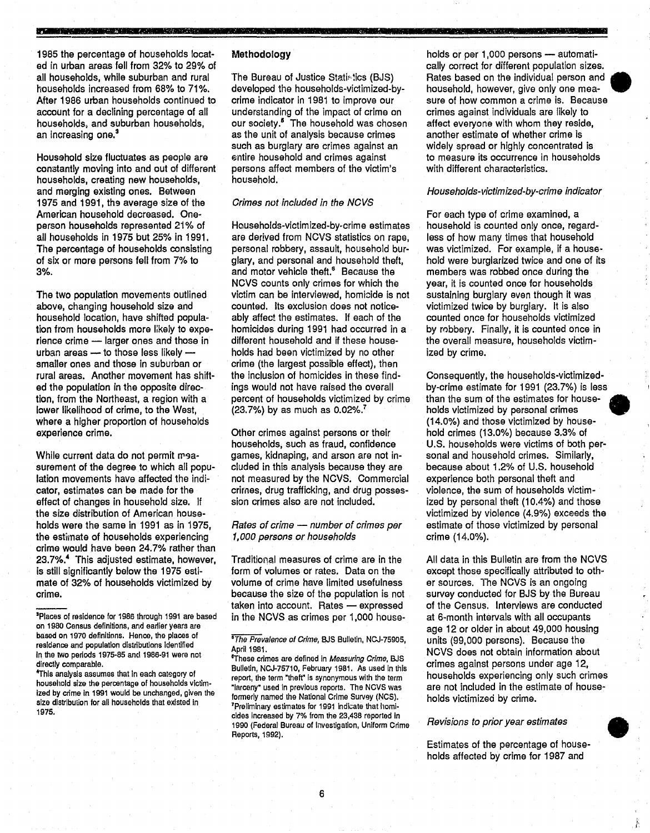1985 the percentage of households located in urban areas fell from 32% to 29% of all households, while suburban and rural households increased from 68% to 71 %. After 1986 urban households continued to account for a declining percentage of all households, and suburban households, an increasing one.<sup>3</sup>

**\_** 

Household size fluctuates as people are constantly moving into and out of different households, creating new households, and merging eXisting ones. Between 1975 and 1991, the average size of the American household decreased. Oneperson households represented 21% of all households in 1975 but 25% in 1991. The percentage of households consisting of six or more persons fell from 7% to 3%.

The two population movements outlined above, changing household size and household location, have shifted population from households more likely to experience crime - larger ones and those in urban areas  $-$  to those less likely smaller ones and those in suburban or rural areas. Another movement has shifted the population in the opposite direction, from the Northeast, a region with a lower likelihood of crime, to the West, where a higher proportion of households experience crime.

While current data do not permit measurement of the degree to which all population movements have affected the indicator, estimates can be made for the effect of changes in household size. If the size distribution of American households were the same in 1991 as in 1975, the estimate of households experiencing crime would have been 24.7% rather than 23.7%.<sup>4</sup> This adjusted estimate, however, is still significantly below the 1975 estimate of 32% of households victimized by crime.

+rhls analysis assumes that in each cat€gory of household size the percentage of households victim· ized by crime in 1991 would be unchanged, given the size distribution for all households that existed in 1975.

# Methodology

The Bureau of Justice Statistics (BJS) developed the households-victimized-bycrime indicator in 1981 to improve our understanding of the impact of crime on our society.<sup>5</sup> The household was chosen as the unit of analysis because crimes such as burglary are crimes against an entire household and crimes against persons affect members of the victim's household.

# Crimes not included in the NCVS

Households-victimized-by-crime estimates are derived from NCVS statistics on rape, personal robbery, assault, household burglary, and personal and household theft, and motor vehicle theft.<sup>5</sup> Because the NCVS counts only crimes for which the victim can be interviewed, homizide is not counted. Its exclusion does not noticeably affect the estimates. If each of the homicides during 1991 had occurred in a different household and if these households had been victimized by no other crime (the largest possible effect), then the inclusion of homicides in these findings would not have raised the overall percent of households victimized by crime (23.7%) by as much as 0.02%.7

Other crimes against persons or their households, such as fraud, confidence games, kidnaping, and arson are not included in this analysis because they are not measured by the NCVS. Commercial crimes, drug trafficking, and drug possession crimes also are not included.

# Rates of crime - number of crimes per 1,000 persons or households

Traditional measures of crime are in the form of volumes or rates. Data on the volume of crime have limited usefulness because the size of the population is not taken into account. Rates - expressed in the NCVS as crimes per 1,000 households or per 1,000 persons - automatically correct for different population sizes. Rates based on the individual person and • household, however, give only one measure of how common a crime is. Because crimes against individuals are likely to affect everyone with whom they reside, another estimate of whether crime is widely spread or highly concentrated is to measure its occurrence in households with different characteristics.

Margaret Christian and Holder Holder

# Households-victimized-by-crime indicator

For each type of crime examined, a household is counted only once, regardless of how many times that household was victimized. For example, if a housa~ hold were burglarized twice and one of its members was robbed once during the year, it is counted once for households sustaining burglary even though it was victimized twice by burglary. It is also counted once for households victimized by robbery. Finally, it is counted once in the overall measure, households victimized by crime.

Consequently, the households-victimizedby-crime estimate for 1991 (23.7%) is less than the sum of the estimates for households victimized by personal crimes (14.0%) and those victimized by household crimes (13.0%) because 3.3% of U.S. households were victims of both personal and household crimes. Similarly, because about 1.2% of U.S. household experience both personal theft and violence, the sum of households victimized by personal theft (10.4%) and those victimized by violence (4.9%) exceeds the estimate of those victimized by personal crime (14.0%).

All data in this Bulletin are from the NCVS except those specifically attributed to other sources. The NCVS is an ongoing survey conducted for BJS by the Bureau of the Census. Interviews are conducted at 6-month intervals with all occupants age 12 or older in about 49,000 housing units (99,000 persons). Because the NCVS does not obtain information about crimes against persons under age 12, households experiencing only such crimes are not included in the estimate of households victimized by crime.

# Revisions to prior year estimates

Estimates of the percentage of households victimized by crime.<br>*Revisions to prior year estimates*<br>Estimates of the percentage of house-<br>holds affected by crime for 1987 and



<sup>&</sup>lt;sup>3</sup>Places of residence for 1986 through 1991 are based on 1980 Census definitions, and earlier years are based on 1970 definitions. Hence, the places of residence and population distributions identified In the two periods 1975-85 and 1986-91 were not directly comparable.

<sup>&</sup>lt;sup>5</sup>The Prevalence of Crime, BJS Bulletin, NCJ-75905, April 1981.

<sup>&#</sup>x27;These crimes are defined in Measuring Crime, BJS Bulletin, NCJ.75710, February 1981. As used in this report, the term "theft" is synonymous with the term "larceny" used in previous reports. The NCVS was formeriy named the Nationai Crime Survey (NCS). 'Preliminary estimates for 1991 indicate that ilomi· cides Increased by 7% from the 23,438 reported In 1990 (Federal Bureau of Investigation, Uniform Crime Reports, 1992).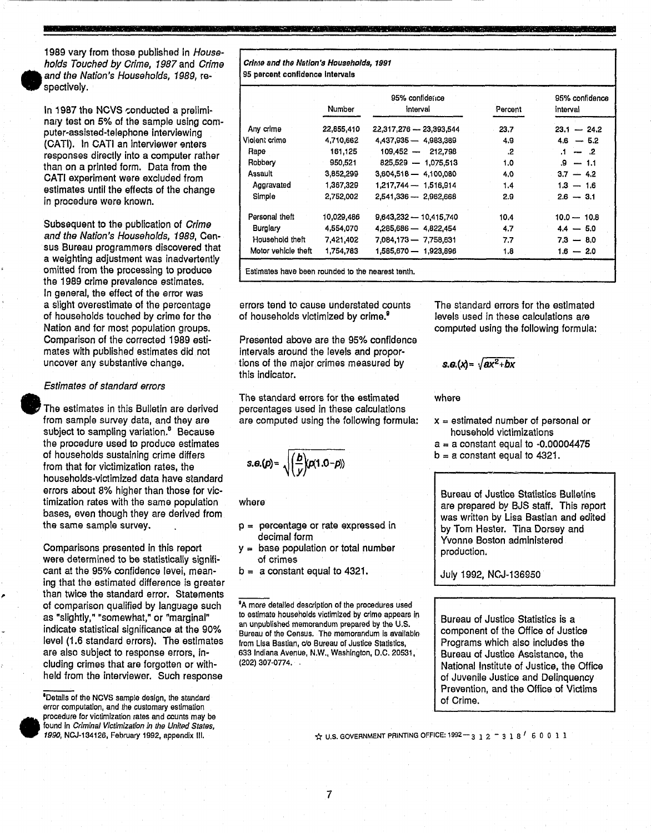

,.

•

1989 vary from those published in Households Touched by Crime, 1987 and Crime and the Nation's Households, 1989, respectively.

In 1987 the NCVS conducted a preliminary test on 5% of the sample using computer-assisted-telephone Interviewing (CATI). In CATI an interviewer enters responses directly into a computer rather than on a printed form. Data from the CATI experiment were excluded from estimates until the effects of the change in procedure were known.

Subsequent to the publication of Crime and the Nation's Households, 1989, Census Bureau programmers discovered that a weighting adjustment was inadvertently omitted from the processing to produce the 1989 crime prevalence estimates. In general, the effect of the error was a slight overestimate of the percentage of households touched by crime for the Nation and for most population groups. Comparison of the corrected 1989 estimates with published estimates did not uncover any substantive change.

## Estimates of standard errors

• The estimates in this Bulletin are derived from sample survey data, and they are subject to sampling variation.<sup>8</sup> Because the procedure used to produce estimates of households sustaining crime differs from that for victimization rates, the households-victimized data have standard errors about 8% higher than those for victimization rates with the same population bases, even though they are derived from the same sample survey.

Comparisons presented in this report were determined to be statistically significant at the 95% confidence levei, meaning that the estimated difference is greater than twice the standard error. Statements of comparison qualified by language such as "slightly," "somewhat," or "marginal" indicate statistical significance at the 90% level (1.6 standard errors). The estimates are also subject to response errors, including crimes that are forgotten or withheld from the interviewer. Such response

'Details of the NCVS sample design, the standard error computation, and the customary estimation procedure for victimization rates and counts may be found in *Criminal Victimization in the United States*, 1990, NCJ-134126, February 1992, appendix III.

Crime and the Nation's Households, 1991 95 percent confidence Intervals

|                     | <b>Number</b> | 95% confidence<br>interval | Percent | 95% confidence<br>interval |
|---------------------|---------------|----------------------------|---------|----------------------------|
|                     |               |                            |         |                            |
| Any crime           | 22,855,410    | 22.317.276 - 23.393.544    | 23.7    | $23.1 - 24.2$              |
| Violent crime       | 4.710,662     | 4,437,935 - 4,983,389      | 4.9     | $4.6 - 5.2$                |
| Rape                | 161,125       | $109.452 - 212.798$        | .2      | $1 - 2$                    |
| Robbery             | 950,521       | 825,529 - 1,075,513        | 1.0     | $.9 - 1.1$                 |
| Assault             | 3,852,299     | $3,604,518 - 4,100,080$    | 4.0     | $3.7 - 4.2$                |
| Aggravated          | 1,367,329     | 1,217,744 - 1,516,914      | 1.4     | $1.3 - 1.6$                |
| Simple              | 2,752,002     | 2,541,336 - 2,962,668      | 2.9     | $2.6 - 3.1$                |
| Personal theft      | 10,029,486    | 9,643,232 - 10,415,740     | 10.4    | $10.0 - 10.8$              |
| <b>Burglary</b>     | 4,554,070     | 4,285,686 - 4,822,454      | 4.7     | $4.4 - 5.0$                |
| Household theft     | 7,421,402     | 7,084,173 - 7,758,631      | 7.7     | $7.3 - 8.0$                |
| Motor vehicle theft | 1,754,783     | 1,585,670 - 1,923,896      | 1.8     | $1.6 - 2.0$                |

**-**

Estimates have been rounded to the nearest tenth.

errors tend to cause understated counts of households victimized by crime.<sup>9</sup>

Presented above are the 95% confidence intervals around the levels and proportions of the major crimes measured by this indicator.

The standard errors for the estimated percentages used in these calculations are computed using the following formula:

 $s.\theta(p) = \sqrt{\frac{b}{v}\rho(1.0-p)}$ 

where

- $p =$  percentage or rate expressed in decimal form
- $y =$  base population or total number of crimes
- $b = a$  constant equal to 4321.

<sup>9</sup>A more detailed description of the procedures used to estimate households victimized by crime appears in an unpublished memorandum prepared by the U.S. Bureau of the Census. The memorandum is available from Lisa Bastian, do Bureau of Justice Statistics, 633 Indiana Avenue, N.W., Washington, D.C. 20531, (202) 307-0774. .

The standard errors for the estimated levels used in these calculations are computed using the following formula:

 $s.g.(\lambda) = \sqrt{ax^2+bx}$ 

where

- $x =$  estimated number of personal or household victimizations
- $a = a constant equal to -0.00004475$
- $b = a$  constant equal to 4321.

Bureau of Justice Statistics Bulletins are prepared by BJS staff. This report was written by Lisa Bastian and edited by Tom Hester. Tina Dorsey and Yvonne Boston administered production.

r------------------------------

July 1992, NCJ-136950

Bureau of Justice Statistics is a component of the Office of Justice Programs which also includes the Bureau of Justice Asaistance, the National Institute of Justice, the Office of Juvenile Justice and Delinquency Prevention, and the Office of Victims of Crime.

 $\frac{1}{12}$  U.S. GOVERNMENT PRINTING OFFICE: 1992-312-318 60011